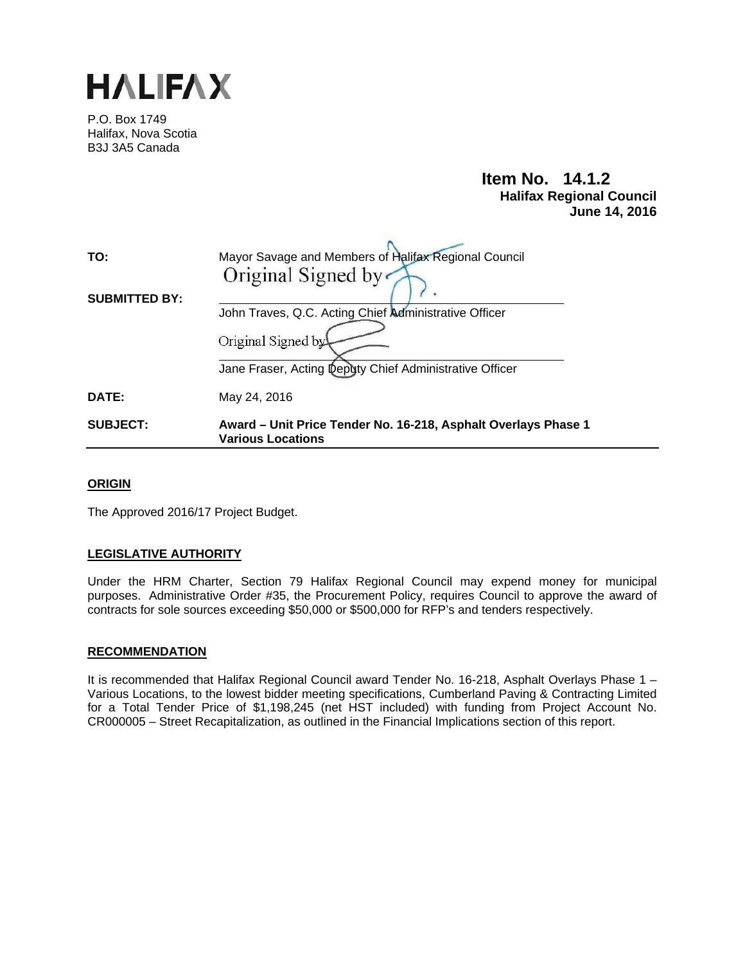

P.O. Box 1749 Halifax, Nova Scotia B3J 3A5 Canada

## **Item No. 14.1.2 Halifax Regional Council June 14, 2016**

| TO:                  | Mayor Savage and Members of Halifax Regional Council<br>Original Signed by                                                             |  |  |
|----------------------|----------------------------------------------------------------------------------------------------------------------------------------|--|--|
| <b>SUBMITTED BY:</b> | John Traves, Q.C. Acting Chief Administrative Officer<br>Original Signed by<br>Jane Fraser, Acting Deputy Chief Administrative Officer |  |  |
| DATE:                | May 24, 2016                                                                                                                           |  |  |
| <b>SUBJECT:</b>      | Award - Unit Price Tender No. 16-218, Asphalt Overlays Phase 1<br><b>Various Locations</b>                                             |  |  |

## **ORIGIN**

The Approved 2016/17 Project Budget.

## **LEGISLATIVE AUTHORITY**

Under the HRM Charter, Section 79 Halifax Regional Council may expend money for municipal purposes. Administrative Order #35, the Procurement Policy, requires Council to approve the award of contracts for sole sources exceeding \$50,000 or \$500,000 for RFP's and tenders respectively.

## **RECOMMENDATION**

It is recommended that Halifax Regional Council award Tender No. 16-218, Asphalt Overlays Phase 1 – Various Locations, to the lowest bidder meeting specifications, Cumberland Paving & Contracting Limited for a Total Tender Price of \$1,198,245 (net HST included) with funding from Project Account No. CR000005 – Street Recapitalization, as outlined in the Financial Implications section of this report.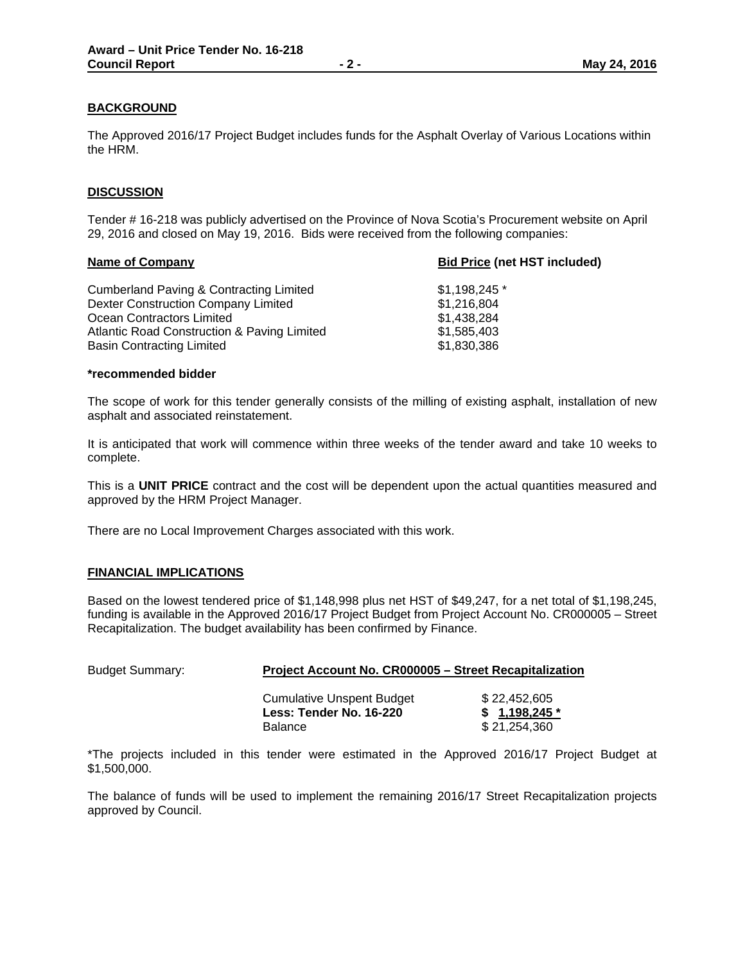## **BACKGROUND**

The Approved 2016/17 Project Budget includes funds for the Asphalt Overlay of Various Locations within the HRM.

### **DISCUSSION**

Tender # 16-218 was publicly advertised on the Province of Nova Scotia's Procurement website on April 29, 2016 and closed on May 19, 2016. Bids were received from the following companies:

| <b>Bid Price (net HST included)</b> |  |
|-------------------------------------|--|
| $$1,198,245$ *                      |  |
| \$1,216,804                         |  |
| \$1,438,284                         |  |
| \$1,585,403                         |  |
| \$1,830,386                         |  |
|                                     |  |

#### **\*recommended bidder**

The scope of work for this tender generally consists of the milling of existing asphalt, installation of new asphalt and associated reinstatement.

It is anticipated that work will commence within three weeks of the tender award and take 10 weeks to complete.

This is a **UNIT PRICE** contract and the cost will be dependent upon the actual quantities measured and approved by the HRM Project Manager.

There are no Local Improvement Charges associated with this work.

#### **FINANCIAL IMPLICATIONS**

Based on the lowest tendered price of \$1,148,998 plus net HST of \$49,247, for a net total of \$1,198,245, funding is available in the Approved 2016/17 Project Budget from Project Account No. CR000005 – Street Recapitalization. The budget availability has been confirmed by Finance.

| <b>Budget Summary:</b> | Project Account No. CR000005 – Street Recapitalization                        |                                             |  |
|------------------------|-------------------------------------------------------------------------------|---------------------------------------------|--|
|                        | <b>Cumulative Unspent Budget</b><br>Less: Tender No. 16-220<br><b>Balance</b> | \$22,452,605<br>\$1,198,245<br>\$21,254,360 |  |

\*The projects included in this tender were estimated in the Approved 2016/17 Project Budget at \$1,500,000.

The balance of funds will be used to implement the remaining 2016/17 Street Recapitalization projects approved by Council.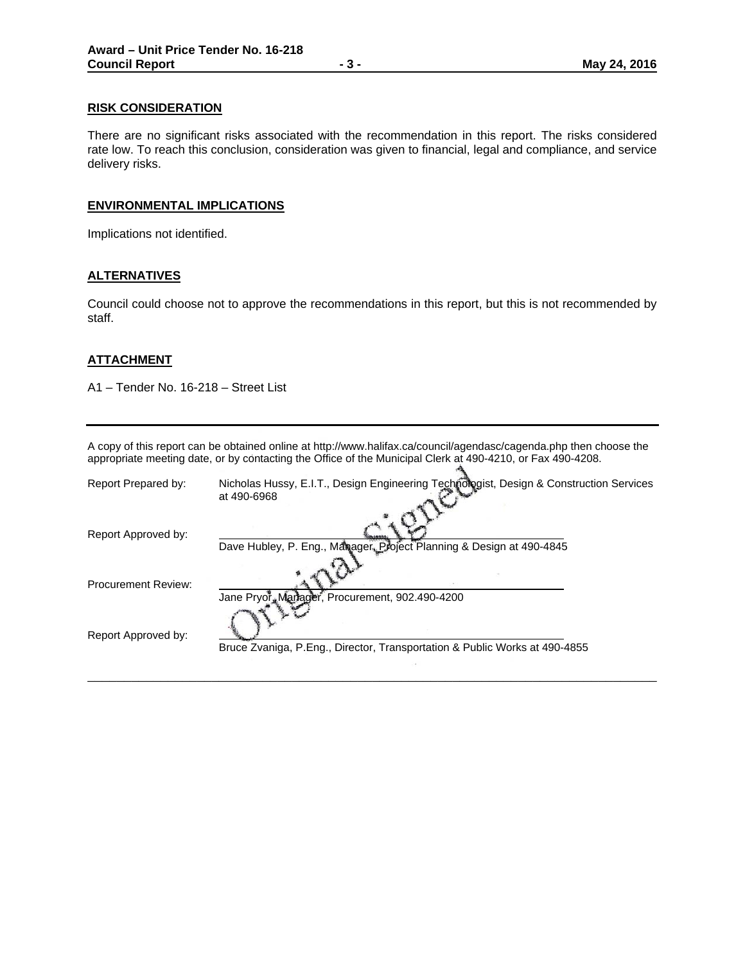#### **RISK CONSIDERATION**

There are no significant risks associated with the recommendation in this report. The risks considered rate low. To reach this conclusion, consideration was given to financial, legal and compliance, and service delivery risks.

#### **ENVIRONMENTAL IMPLICATIONS**

Implications not identified.

#### **ALTERNATIVES**

Council could choose not to approve the recommendations in this report, but this is not recommended by staff.

#### **ATTACHMENT**

A1 – Tender No. 16-218 – Street List

A copy of this report can be obtained online at http://www.halifax.ca/council/agendasc/cagenda.php then choose the appropriate meeting date, or by contacting the Office of the Municipal Clerk at 490-4210, or Fax 490-4208.

| Report Prepared by:        | Nicholas Hussy, E.I.T., Design Engineering Technologist, Design & Construction Services<br>at 490-6968 |
|----------------------------|--------------------------------------------------------------------------------------------------------|
| Report Approved by:        | Dave Hubley, P. Eng., Manager, Project Planning & Design at 490-4845                                   |
| <b>Procurement Review:</b> | Jane Pryor, Manager, Procurement, 902.490-4200                                                         |
| Report Approved by:        | Bruce Zvaniga, P.Eng., Director, Transportation & Public Works at 490-4855                             |

\_\_\_\_\_\_\_\_\_\_\_\_\_\_\_\_\_\_\_\_\_\_\_\_\_\_\_\_\_\_\_\_\_\_\_\_\_\_\_\_\_\_\_\_\_\_\_\_\_\_\_\_\_\_\_\_\_\_\_\_\_\_\_\_\_\_\_\_\_\_\_\_\_\_\_\_\_\_